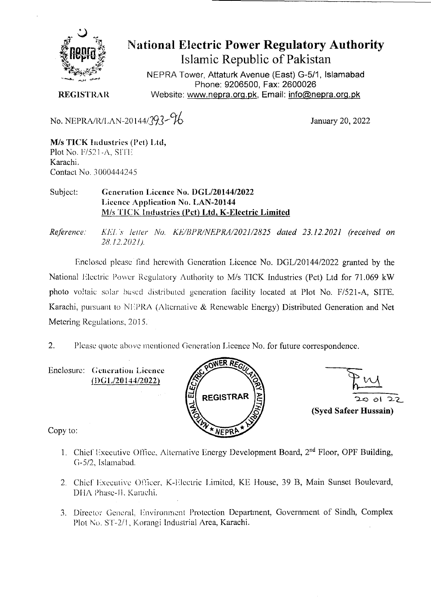

## **National Electric Power Regulatory Authority Islamic Republic of Pakistan**

NEPRA Tower, Attaturk Avenue (East) G-511, **Islamabad Phone: 9206500, Fax: 2600026 REGISTRAR** Website: www.nepra.org.pk, Email: info@nepra.org.pk

No. NEPRA/R/LAN-20144/393- 16

M/s TICK Industries (PcI) Ltd, Plot No. *F*/521-A, SITE Karachi. Contact No. 3000444245

Subject: Generation Licence No. DGL/20144/2022 Licence Application No. LAN-20144 *MIs* 'rICK Industries (Pct) **Ltd, K-Electric Limited** 

*Reference: KE!. .s' let/er Na. KE/IIPR/NEI'RA/2021/2825 dated 23.12.2021 (received on 28.12.2021).* 

Enclosed please find herewith Generation Licence No. DGL/20144/2022 granted by the National Electric Power Regulatory Authority to *MIs* TICK Industries (Pet) Ltd for 71.069 kW photo voltaic solar based distributed generation facility located at Plot No. F/521-A, SITE. Karachi, pursuant to NEPRA (Alternative & Renewable Energy) Distributed Generation and Net Metering Regulations, 2015.

2. Please quote above mentioned Generation Licence No. for future correspondence.

Enclosure: Generation Licence D(; L/20 *144/20Th* 





Copy to:

- 1. Chief Executive Office, Alternative Energy Development Board, 2<sup>nd</sup> Floor, OPF Building, (1-5/2, Istamabad.
- 2. Chief Executive Officer, K-Electric Limited, KE House, 39 B, Main Sunset Boulevard, DNA Phase-Il. Karachi.
- 3. Director General. Environment Protection Department, Government of Sindh, Complex Plot No. ST-2/1, Korangi Industrial Area, Karachi.